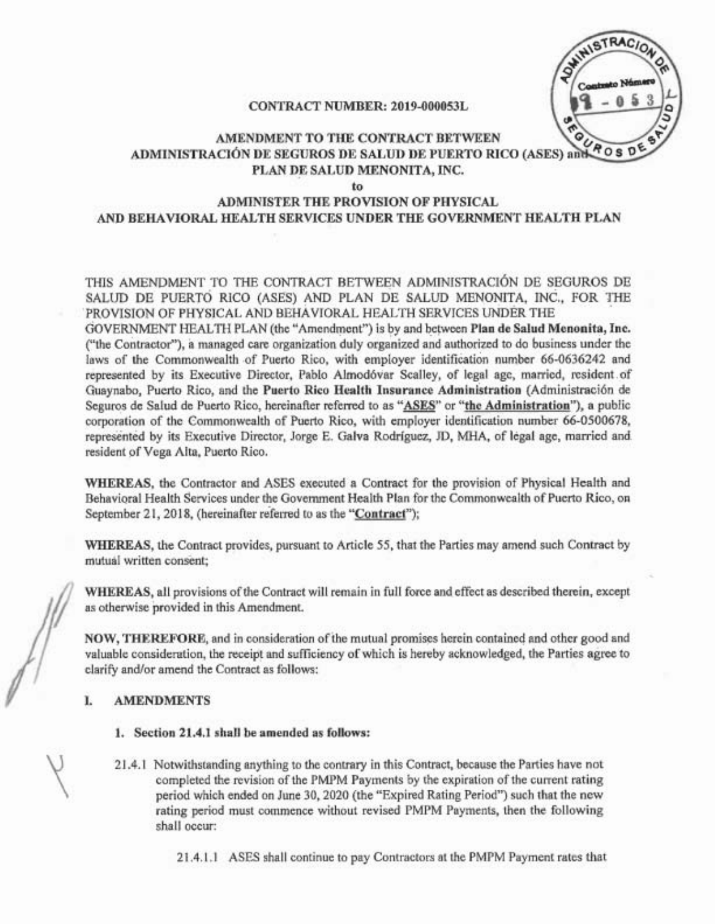TRAC **Rosp** 

# CONTRACT NUMBER: 2019-000053L

# AMENDMENT TO THE CONTRACT BETWEEN **ADMINISTRACIÓN DE SEGUROS DE SALUD DE PUERTO RICO (ASES) and** PLAN DE SALUD MENONITA, INC.

#### to

# ADMINISTER THE PROVISION OF PHYSICAL AND BEHAVIORAL HEALTH SERVICES UNDER THE GOVERNMENT HEALTH PLAN

THIS AMENDMENT TO THE CONTRACT BETWEEN ADMINISTRACION DE SEGUROS DE SALUD DE PUERTO RICO (ASES) AND PLAN DE SALUD MENONITA, INC., FOR THE .PROVISION OF PHYSICAL AND BEHAVroRAL HEALTH SERVICES UNDER THE

GOVERNMENT HEALTH PLAN (the "Amendment") is by and between Plan de Salud Menonita, Inc. ("the Contractor"), a managed care organization duly organized and authorized to do business under the laws of the Commonwealth of Puerto Rico, with employer identification number 66-0636242 and represented by its Executive Director, Pablo Almodóvar Scalley, of legal age, married, resident of Guaynabo, Puerto Rico, and the Puerto Rico Health Insurance Administration (Administraci6n de Seguros de Salud de Puerto Rico, hereinafter referred to as "ASES" or "the Administration"). a public corporation of the Commonwealth of Puerto Rico, with employer identification number 66-0500678, represented by its Executive Director, Jorge E. Galva Rodriguez, JD, MHA, of legal age, married and. resident of Vega Alta, Puerto Rico.

WHEREAS. the Contractor and ASES executed a Contract for the provision of Physical Health and Behavioral Health Services under the Government Health Plan for the Commonwealth of Puerto Rico, on September 21, 2018, (hereinafter referred to as the "Contract");

WHEREAS, the Contract provides, pursuant to Article 55, that the Parties may amend such Contract by mutual written consent;

WHEREAS, all provisions ofthe Contract will remain in full force and effect as described therein, except as otherwise provided in this Amendment.

NOW, THEREFORE, and in consideration of the mutual promises herein contained and other good and valuable consideration, the receipt and sufficiency of which is hereby acknowledged, the Parties agree to clarifY and/or amend the Contract as follows:

# I. AMENDMENTS

- 1. Section 21.4.1 shall be amended as follows:
- 21.4.1 Notwithstanding anything to the contrary in this Contract, because the Parties have not completed the revision of the PMPM Payments by the expiration of the current rating period which ended on June 30, 2020 (the "Expired Rating Period") such that the new rating period must commence without revised PMPM Payments, then the following shall occur:

21.4.1.1 ASES shall continue to pay Contractors at the PMPM Payment rates that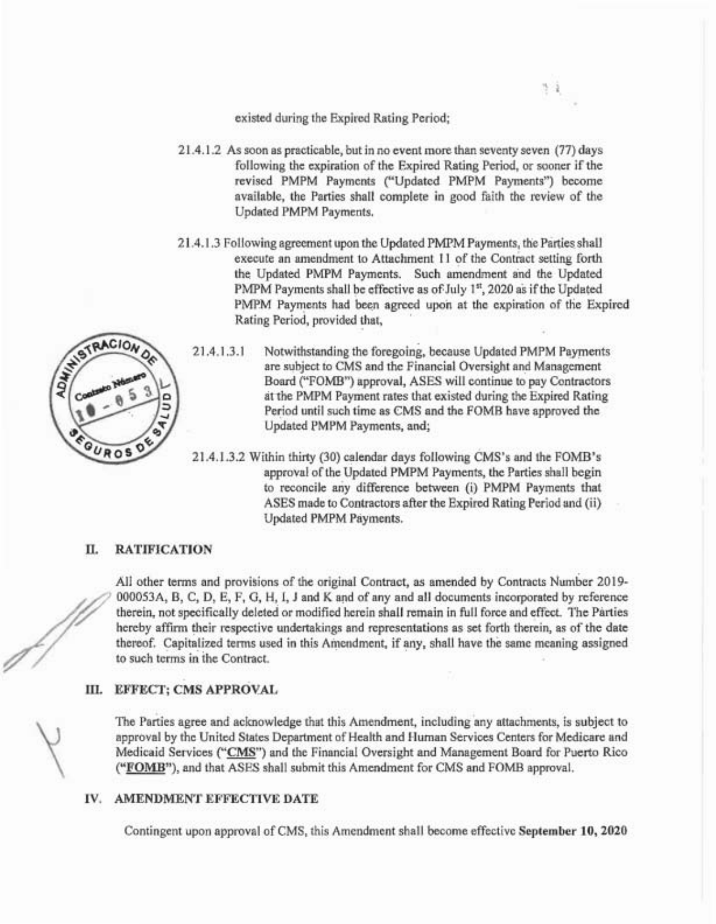existed during the Expired Rating Period;

21.4.1.2 As soon as practicable, but in no event more than seventy seven (77) days following the expiration of the Expired Rating Period, or sooner if the revised PMPM Payments ("Updated PMPM Payments") become available, the Parties shall complete in good faith the review of the Updated PMPM Payments.

 $3 - 2$ 

21.4.1.3 Following agreement upon the Updated PMPM Payments, the Parties shall execute an amendment to Attachment 11 of the Contract setting forth the Updated PMPM Payments. Such amendment and the Updated PMPM Payments shall be effective as of July 1st, 2020 as if the Updated PMPM Payments had been agreed upon at the expiration of the Expired Rating Period, provided that,



- 21.4.1.3.1 Notwithstanding the foregoing, because Updated PMPM Payments are subject to CMS and the Financial Oversight and Management Board ("FOMB") approval, ASES will continue to pay Contractors atthe PMPM Payment rates that existed during the Expired Rating Period until such time as CMS and the FOMB have approved the Updated PMPM Payments, and;
- 21.4.1.3.2 Within thirty (30) calendar days following CMS's and the FOMB's approval of the Updated PMPM Payments, the Parties shall begin to reconcile any difference between (i) PMPM Payments that ASES made to Contractors after the Expired Rating Period and (ii) Updated PMPM Payments.

# II. RATIFICATION (/

All other terms and provisions of the original Contract, as amended by Contracts Number 2019- 000053A, B, C, D, E, F, G, H, I, J and K and of any and all documents incorporated by reference therein, not specifically deleted or modified herein shall remain in full force and effect. The Parties hereby affirm their respective undertakings and representations as set forth therein, as of the date thereof. Capitalized terms used in this Amendment, if any, shall have the same meaning assigned to such terms in the Contract.

# ill. EFFECT; CMS APPROVAL

The Parties agree and acknowledge that this Amendment, including any attachments, is subject to approval by the United States Department of Health and Human Services Centers for Medicare and Medicaid Services ("CMS") and the Financial Oversight and Management Board for Puerto Rico ("FOMB"), and that ASES shall submit this Amendment for CMS and FOMB approval.

# IV. AMENDMENT EFFECTIVE DATE

Contingent upon approval of CMS, this Amendment shall become effective September 10, 2020